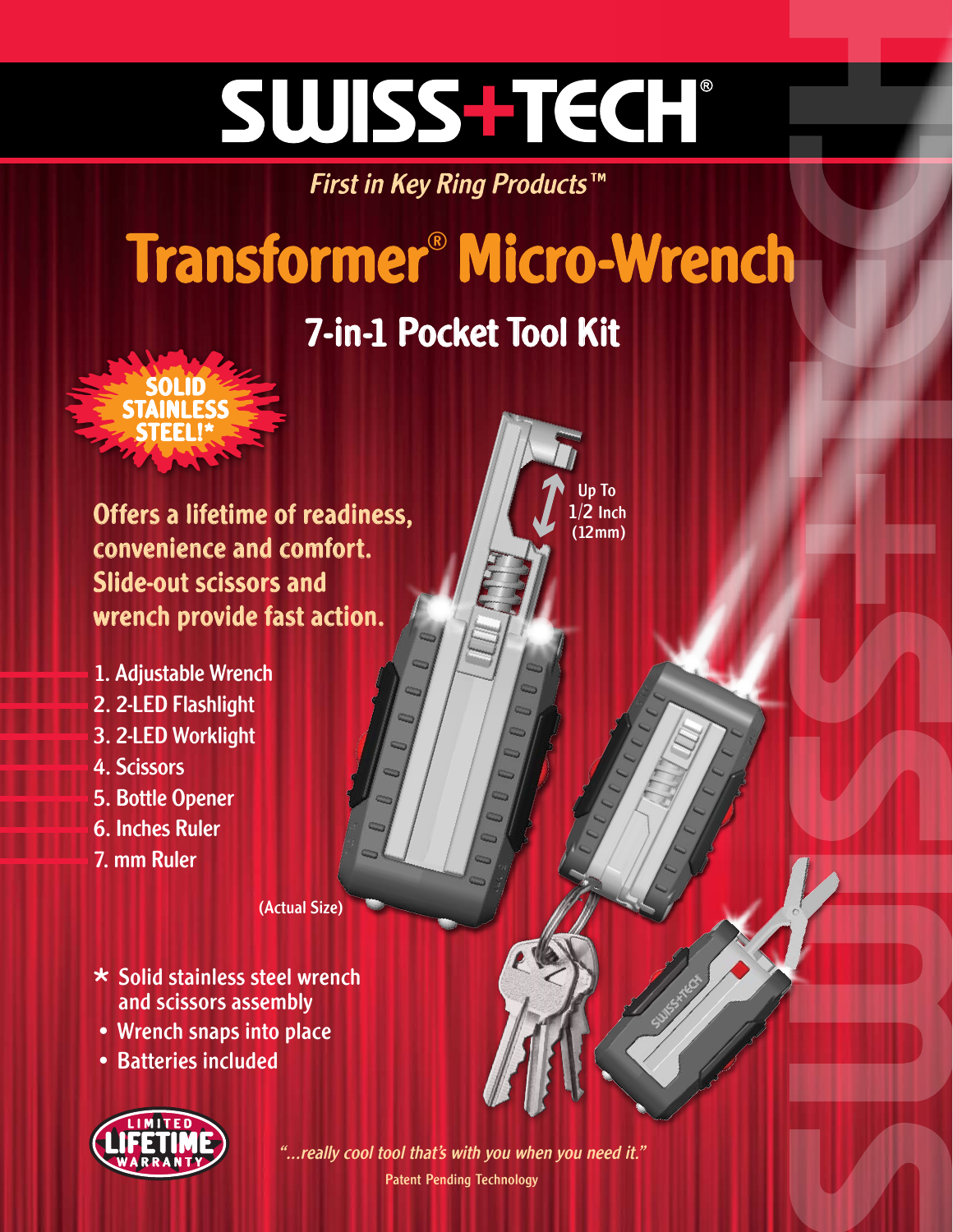# SWISS-TECH®

First in Key Ring Products™

## Transformer® Micro-Wrench

### 7-in-1 Pocket Tool Kit

Up To  $1/2$  Inch (12mm)



Offers a lifetime of readiness, convenience and comfort. Slide-out scissors and wrench provide fast action.

- 1. Adjustable Wrench
- 2. 2-LED Flashlight
- 3. 2-LED Worklight
- 4. Scissors
- 5. Bottle Opener
- 6. Inches Ruler
- 7. mm Ruler

(Actual Size)

- $\star$  Solid stainless steel wrench and scissors assembly
- Wrench snaps into place
- Batteries included



Patent Pending Technology "...really cool tool that's with you when you need it."